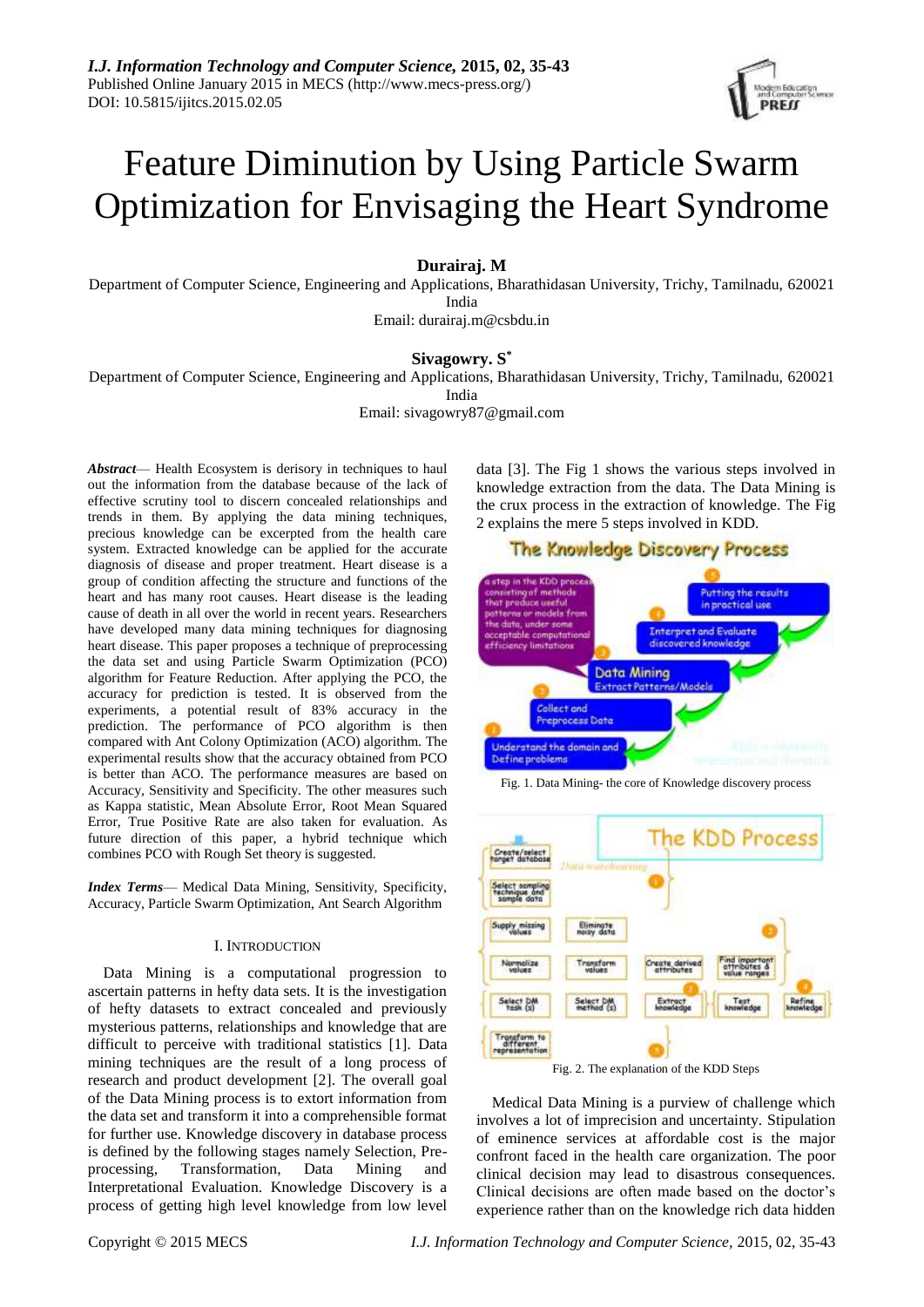

# Feature Diminution by Using Particle Swarm Optimization for Envisaging the Heart Syndrome

# **Durairaj. M**

Department of Computer Science, Engineering and Applications, Bharathidasan University, Trichy, Tamilnadu, 620021 India

Email: durairaj.m@csbdu.in

# **Sivagowry. S \***

Department of Computer Science, Engineering and Applications, Bharathidasan University, Trichy, Tamilnadu, 620021 India

Email: sivagowry87@gmail.com

*Abstract*— Health Ecosystem is derisory in techniques to haul out the information from the database because of the lack of effective scrutiny tool to discern concealed relationships and trends in them. By applying the data mining techniques, precious knowledge can be excerpted from the health care system. Extracted knowledge can be applied for the accurate diagnosis of disease and proper treatment. Heart disease is a group of condition affecting the structure and functions of the heart and has many root causes. Heart disease is the leading cause of death in all over the world in recent years. Researchers have developed many data mining techniques for diagnosing heart disease. This paper proposes a technique of preprocessing the data set and using Particle Swarm Optimization (PCO) algorithm for Feature Reduction. After applying the PCO, the accuracy for prediction is tested. It is observed from the experiments, a potential result of 83% accuracy in the prediction. The performance of PCO algorithm is then compared with Ant Colony Optimization (ACO) algorithm. The experimental results show that the accuracy obtained from PCO is better than ACO. The performance measures are based on Accuracy, Sensitivity and Specificity. The other measures such as Kappa statistic, Mean Absolute Error, Root Mean Squared Error, True Positive Rate are also taken for evaluation. As future direction of this paper, a hybrid technique which combines PCO with Rough Set theory is suggested.

*Index Terms*— Medical Data Mining, Sensitivity, Specificity, Accuracy, Particle Swarm Optimization, Ant Search Algorithm

## I. INTRODUCTION

Data Mining is a computational progression to ascertain patterns in hefty data sets. It is the investigation of hefty datasets to extract concealed and previously mysterious patterns, relationships and knowledge that are difficult to perceive with traditional statistics [1]. Data mining techniques are the result of a long process of research and product development [2]. The overall goal of the Data Mining process is to extort information from the data set and transform it into a comprehensible format for further use. Knowledge discovery in database process is defined by the following stages namely Selection, Preprocessing, Transformation, Data Mining and Interpretational Evaluation. Knowledge Discovery is a process of getting high level knowledge from low level

data [3]. The Fig 1 shows the various steps involved in knowledge extraction from the data. The Data Mining is the crux process in the extraction of knowledge. The Fig 2 explains the mere 5 steps involved in KDD.





Fig. 1. Data Mining- the core of Knowledge discovery process



Fig. 2. The explanation of the KDD Steps

Medical Data Mining is a purview of challenge which involves a lot of imprecision and uncertainty. Stipulation of eminence services at affordable cost is the major confront faced in the health care organization. The poor clinical decision may lead to disastrous consequences. Clinical decisions are often made based on the doctor's experience rather than on the knowledge rich data hidden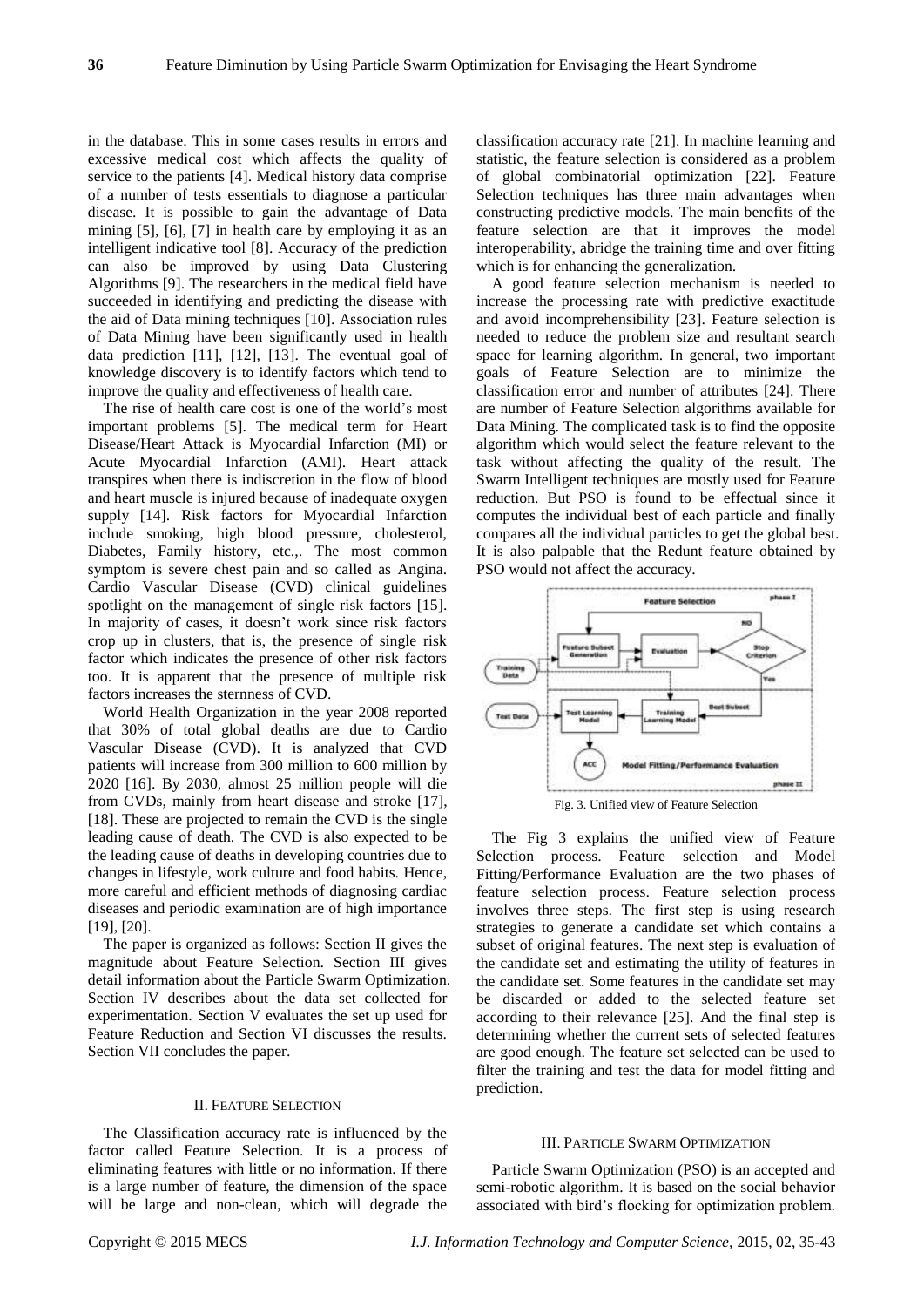in the database. This in some cases results in errors and excessive medical cost which affects the quality of service to the patients [4]. Medical history data comprise of a number of tests essentials to diagnose a particular disease. It is possible to gain the advantage of Data mining [5], [6], [7] in health care by employing it as an intelligent indicative tool [8]. Accuracy of the prediction can also be improved by using Data Clustering Algorithms [9]. The researchers in the medical field have succeeded in identifying and predicting the disease with the aid of Data mining techniques [10]. Association rules of Data Mining have been significantly used in health data prediction [11], [12], [13]. The eventual goal of knowledge discovery is to identify factors which tend to improve the quality and effectiveness of health care.

The rise of health care cost is one of the world's most important problems [5]. The medical term for Heart Disease/Heart Attack is Myocardial Infarction (MI) or Acute Myocardial Infarction (AMI). Heart attack transpires when there is indiscretion in the flow of blood and heart muscle is injured because of inadequate oxygen supply [14]. Risk factors for Myocardial Infarction include smoking, high blood pressure, cholesterol, Diabetes, Family history, etc.,. The most common symptom is severe chest pain and so called as Angina. Cardio Vascular Disease (CVD) clinical guidelines spotlight on the management of single risk factors [15]. In majority of cases, it doesn't work since risk factors crop up in clusters, that is, the presence of single risk factor which indicates the presence of other risk factors too. It is apparent that the presence of multiple risk factors increases the sternness of CVD.

World Health Organization in the year 2008 reported that 30% of total global deaths are due to Cardio Vascular Disease (CVD). It is analyzed that CVD patients will increase from 300 million to 600 million by 2020 [16]. By 2030, almost 25 million people will die from CVDs, mainly from heart disease and stroke [17], [18]. These are projected to remain the CVD is the single leading cause of death. The CVD is also expected to be the leading cause of deaths in developing countries due to changes in lifestyle, work culture and food habits. Hence, more careful and efficient methods of diagnosing cardiac diseases and periodic examination are of high importance [19], [20].

The paper is organized as follows: Section II gives the magnitude about Feature Selection. Section III gives detail information about the Particle Swarm Optimization. Section IV describes about the data set collected for experimentation. Section V evaluates the set up used for Feature Reduction and Section VI discusses the results. Section VII concludes the paper.

#### II. FEATURE SELECTION

The Classification accuracy rate is influenced by the factor called Feature Selection. It is a process of eliminating features with little or no information. If there is a large number of feature, the dimension of the space will be large and non-clean, which will degrade the classification accuracy rate [21]. In machine learning and statistic, the feature selection is considered as a problem of global combinatorial optimization [22]. Feature Selection techniques has three main advantages when constructing predictive models. The main benefits of the feature selection are that it improves the model interoperability, abridge the training time and over fitting which is for enhancing the generalization.

A good feature selection mechanism is needed to increase the processing rate with predictive exactitude and avoid incomprehensibility [23]. Feature selection is needed to reduce the problem size and resultant search space for learning algorithm. In general, two important goals of Feature Selection are to minimize the classification error and number of attributes [24]. There are number of Feature Selection algorithms available for Data Mining. The complicated task is to find the opposite algorithm which would select the feature relevant to the task without affecting the quality of the result. The Swarm Intelligent techniques are mostly used for Feature reduction. But PSO is found to be effectual since it computes the individual best of each particle and finally compares all the individual particles to get the global best. It is also palpable that the Redunt feature obtained by PSO would not affect the accuracy.



The Fig 3 explains the unified view of Feature Selection process. Feature selection and Model Fitting/Performance Evaluation are the two phases of feature selection process. Feature selection process involves three steps. The first step is using research strategies to generate a candidate set which contains a subset of original features. The next step is evaluation of the candidate set and estimating the utility of features in the candidate set. Some features in the candidate set may be discarded or added to the selected feature set according to their relevance [25]. And the final step is determining whether the current sets of selected features are good enough. The feature set selected can be used to filter the training and test the data for model fitting and prediction.

## III. PARTICLE SWARM OPTIMIZATION

Particle Swarm Optimization (PSO) is an accepted and semi-robotic algorithm. It is based on the social behavior associated with bird's flocking for optimization problem.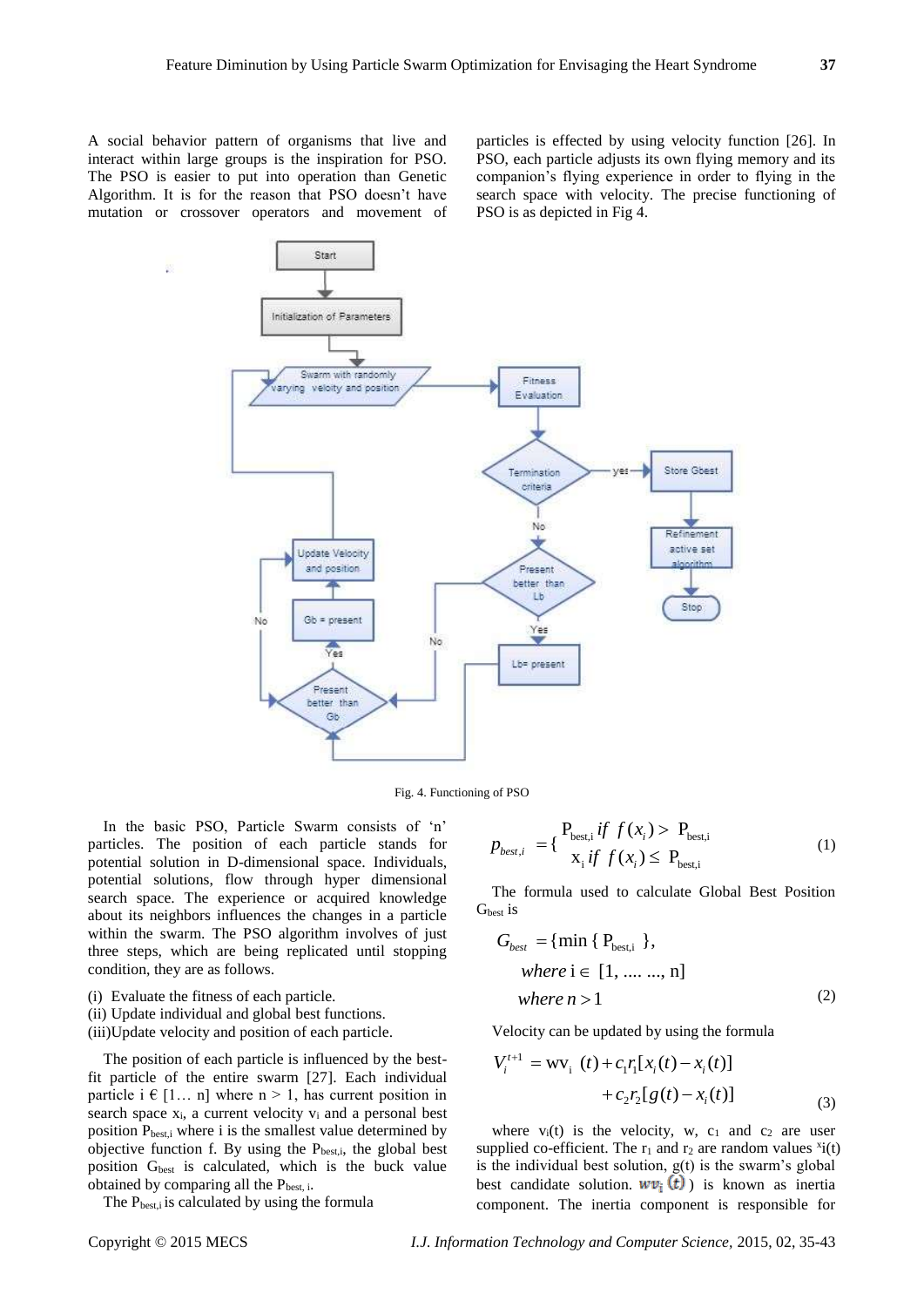A social behavior pattern of organisms that live and interact within large groups is the inspiration for PSO. The PSO is easier to put into operation than Genetic Algorithm. It is for the reason that PSO doesn't have mutation or crossover operators and movement of

particles is effected by using velocity function [26]. In PSO, each particle adjusts its own flying memory and its companion's flying experience in order to flying in the search space with velocity. The precise functioning of PSO is as depicted in Fig 4.



Fig. 4. Functioning of PSO

In the basic PSO, Particle Swarm consists of 'n' particles. The position of each particle stands for potential solution in D-dimensional space. Individuals, potential solutions, flow through hyper dimensional search space. The experience or acquired knowledge about its neighbors influences the changes in a particle within the swarm. The PSO algorithm involves of just three steps, which are being replicated until stopping condition, they are as follows.

- (i) Evaluate the fitness of each particle.
- (ii) Update individual and global best functions.
- (iii)Update velocity and position of each particle.

The position of each particle is influenced by the bestfit particle of the entire swarm [27]. Each individual particle i  $\in$  [1... n] where n > 1, has current position in search space  $x_i$ , a current velocity  $v_i$  and a personal best position Pbest,i where i is the smallest value determined by objective function f. By using the  $P_{best,i}$ , the global best position  $G<sub>best</sub>$  is calculated, which is the buck value obtained by comparing all the  $P_{best,i}$ .

The P<sub>best,i</sub> is calculated by using the formula

$$
p_{best,i} = \begin{cases} P_{best,i} & \text{if } f(x_i) > P_{best,i} \\ x_i & \text{if } f(x_i) \le P_{best,i} \end{cases}
$$
 (1)

The formula used to calculate Global Best Position G<sub>best</sub> is

$$
G_{best} = \{ \min \{ P_{best,i} \},
$$
  
where  $i \in [1, ..., n]$   
where  $n > 1$  (2)

Velocity can be updated by using the formula

$$
V_i^{t+1} = \text{wV}_i(t) + c_1 r_i [x_i(t) - x_i(t)]
$$
  
+ 
$$
c_2 r_2 [g(t) - x_i(t)]
$$
 (3)

where  $v_i(t)$  is the velocity, w,  $c_1$  and  $c_2$  are user supplied co-efficient. The  $r_1$  and  $r_2$  are random values  $x_i(t)$ is the individual best solution,  $g(t)$  is the swarm's global best candidate solution.  $w v_i(t)$  is known as inertia component. The inertia component is responsible for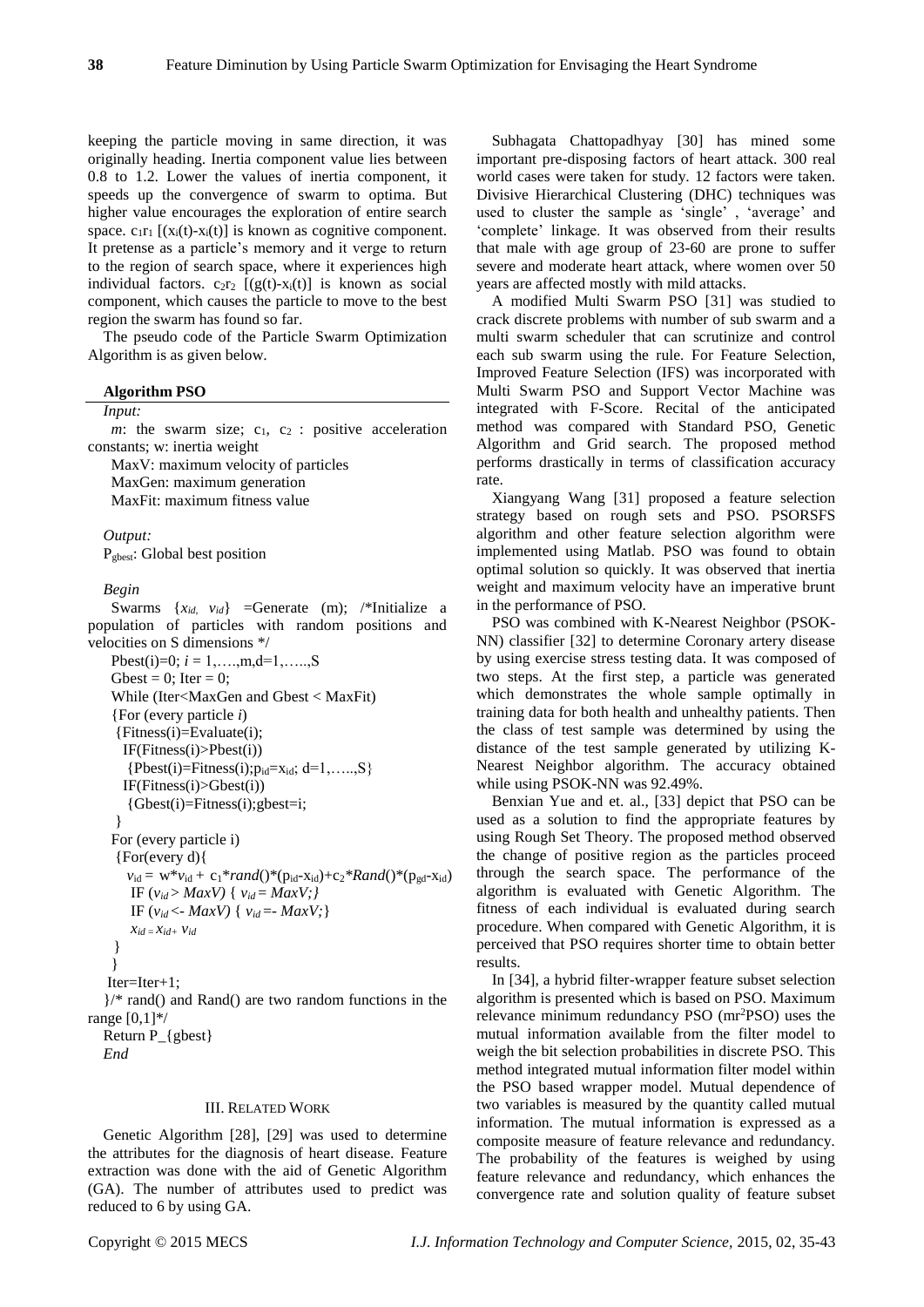keeping the particle moving in same direction, it was originally heading. Inertia component value lies between 0.8 to 1.2. Lower the values of inertia component, it speeds up the convergence of swarm to optima. But higher value encourages the exploration of entire search space.  $c_1r_1$  [(x<sub>i</sub>(t)-x<sub>i</sub>(t)] is known as cognitive component. It pretense as a particle's memory and it verge to return to the region of search space, where it experiences high individual factors.  $c_2r_2$   $[(g(t)-x_i(t))]$  is known as social component, which causes the particle to move to the best region the swarm has found so far.

The pseudo code of the Particle Swarm Optimization Algorithm is as given below.

#### **Algorithm PSO**

## *Input:*

 $m$ : the swarm size;  $c_1$ ,  $c_2$ : positive acceleration constants; w: inertia weight

MaxV: maximum velocity of particles MaxGen: maximum generation MaxFit: maximum fitness value

*Output:* 

P<sub>gbest</sub>: Global best position

#### *Begin*

Swarms  $\{x_{id}, v_{id}\}$  =Generate (m); /\*Initialize a population of particles with random positions and velocities on S dimensions \*/ Pbest(i)=0;  $i = 1, \ldots, m, d=1, \ldots, S$ 

```
Gbest = 0; Iter = 0;
    While (Iter<MaxGen and Gbest < MaxFit)
    {For (every particle i)
      {Fitness(i)=Evaluate(i);
        IF(Fitness(i)>Pbest(i))
       {Pbest}(i)=Fitness(i); p_{id}=x_{id}; d=1, \ldots, S} IF(Fitness(i)>Gbest(i))
        {Gbest(i)=Fitness(i);gbest=i;
      }
    For (every particle i)
      {For(every d){
       v_{\rm id} = w^* v_{\rm id} + c_1^* rand()^* (p_{\rm id} - x_{\rm id}) + c_2^* Rand()^* (p_{\rm gd} - x_{\rm id})IF (v_{id} > MaxV) \{ v_{id} = MaxV; \}\text{IF } (v_{id} < -\text{Max}V) \{ v_{id} = -\text{Max}V \}x_{id} = x_{id} + y_{id} }
     }
   Iter=Iter+1;
   \frac{1}{2} rand() and Rand() are two random functions in the
range [0,1]*/
   Return P_{gbest}
```
*End*

## III. RELATED WORK

Genetic Algorithm [28], [29] was used to determine the attributes for the diagnosis of heart disease. Feature extraction was done with the aid of Genetic Algorithm (GA). The number of attributes used to predict was reduced to 6 by using GA.

Subhagata Chattopadhyay [30] has mined some important pre-disposing factors of heart attack. 300 real world cases were taken for study. 12 factors were taken. Divisive Hierarchical Clustering (DHC) techniques was used to cluster the sample as 'single' , 'average' and 'complete' linkage. It was observed from their results that male with age group of 23-60 are prone to suffer severe and moderate heart attack, where women over 50 years are affected mostly with mild attacks.

A modified Multi Swarm PSO [31] was studied to crack discrete problems with number of sub swarm and a multi swarm scheduler that can scrutinize and control each sub swarm using the rule. For Feature Selection, Improved Feature Selection (IFS) was incorporated with Multi Swarm PSO and Support Vector Machine was integrated with F-Score. Recital of the anticipated method was compared with Standard PSO, Genetic Algorithm and Grid search. The proposed method performs drastically in terms of classification accuracy rate.

Xiangyang Wang [31] proposed a feature selection strategy based on rough sets and PSO. PSORSFS algorithm and other feature selection algorithm were implemented using Matlab. PSO was found to obtain optimal solution so quickly. It was observed that inertia weight and maximum velocity have an imperative brunt in the performance of PSO.

PSO was combined with K-Nearest Neighbor (PSOK-NN) classifier [32] to determine Coronary artery disease by using exercise stress testing data. It was composed of two steps. At the first step, a particle was generated which demonstrates the whole sample optimally in training data for both health and unhealthy patients. Then the class of test sample was determined by using the distance of the test sample generated by utilizing K-Nearest Neighbor algorithm. The accuracy obtained while using PSOK-NN was 92.49%.

Benxian Yue and et. al., [33] depict that PSO can be used as a solution to find the appropriate features by using Rough Set Theory. The proposed method observed the change of positive region as the particles proceed through the search space. The performance of the algorithm is evaluated with Genetic Algorithm. The fitness of each individual is evaluated during search procedure. When compared with Genetic Algorithm, it is perceived that PSO requires shorter time to obtain better results.

In [34], a hybrid filter-wrapper feature subset selection algorithm is presented which is based on PSO. Maximum relevance minimum redundancy PSO (mr<sup>2</sup>PSO) uses the mutual information available from the filter model to weigh the bit selection probabilities in discrete PSO. This method integrated mutual information filter model within the PSO based wrapper model. Mutual dependence of two variables is measured by the quantity called mutual information. The mutual information is expressed as a composite measure of feature relevance and redundancy. The probability of the features is weighed by using feature relevance and redundancy, which enhances the convergence rate and solution quality of feature subset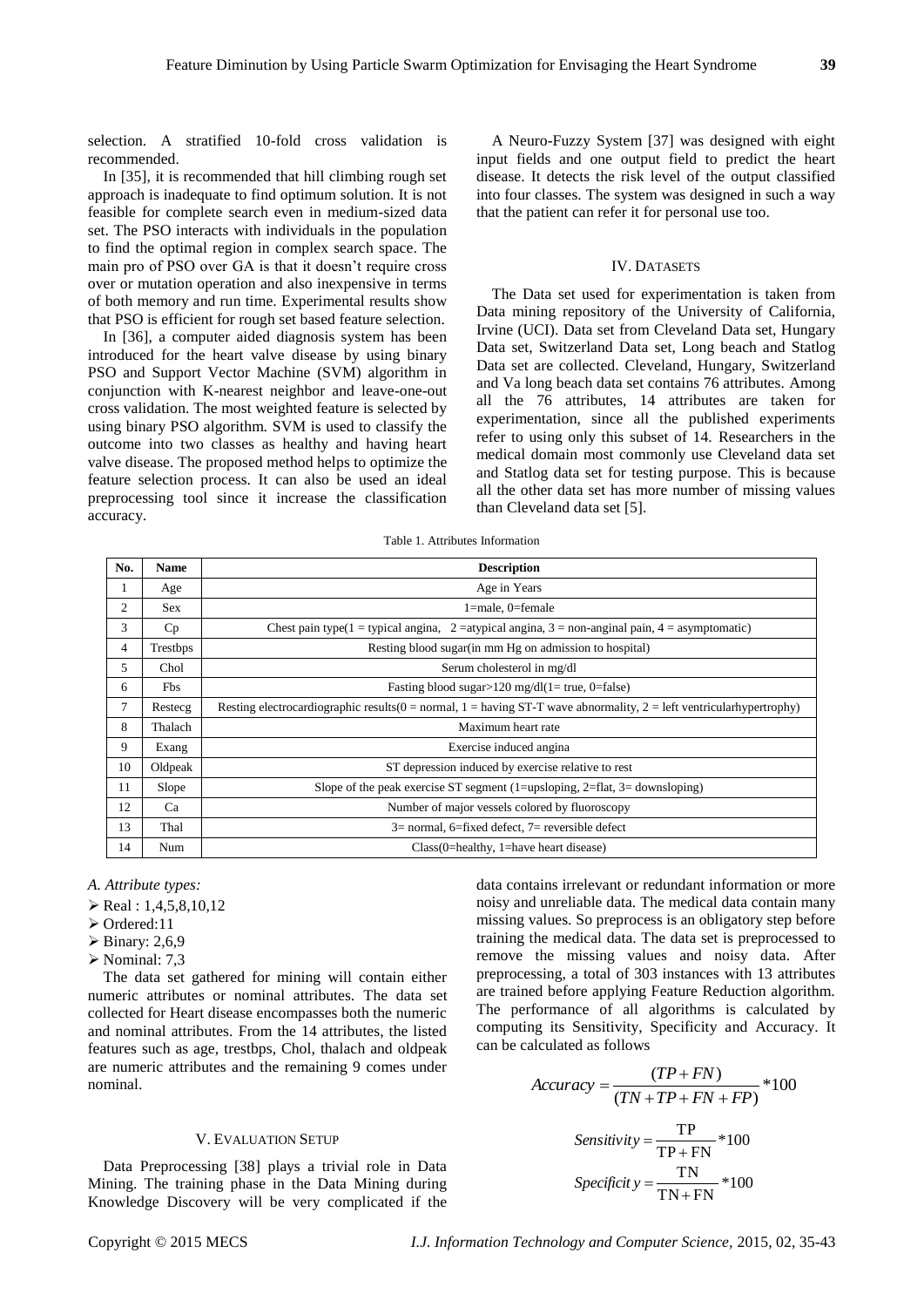selection. A stratified 10-fold cross validation is recommended.

In [35], it is recommended that hill climbing rough set approach is inadequate to find optimum solution. It is not feasible for complete search even in medium-sized data set. The PSO interacts with individuals in the population to find the optimal region in complex search space. The main pro of PSO over GA is that it doesn't require cross over or mutation operation and also inexpensive in terms of both memory and run time. Experimental results show that PSO is efficient for rough set based feature selection.

In [36], a computer aided diagnosis system has been introduced for the heart valve disease by using binary PSO and Support Vector Machine (SVM) algorithm in conjunction with K-nearest neighbor and leave-one-out cross validation. The most weighted feature is selected by using binary PSO algorithm. SVM is used to classify the outcome into two classes as healthy and having heart valve disease. The proposed method helps to optimize the feature selection process. It can also be used an ideal preprocessing tool since it increase the classification accuracy.

A Neuro-Fuzzy System [37] was designed with eight input fields and one output field to predict the heart disease. It detects the risk level of the output classified into four classes. The system was designed in such a way that the patient can refer it for personal use too.

## IV. DATASETS

The Data set used for experimentation is taken from Data mining repository of the University of California, Irvine (UCI). Data set from Cleveland Data set, Hungary Data set, Switzerland Data set, Long beach and Statlog Data set are collected. Cleveland, Hungary, Switzerland and Va long beach data set contains 76 attributes. Among all the 76 attributes, 14 attributes are taken for experimentation, since all the published experiments refer to using only this subset of 14. Researchers in the medical domain most commonly use Cleveland data set and Statlog data set for testing purpose. This is because all the other data set has more number of missing values than Cleveland data set [5].

Table 1. Attributes Information

| No.            | <b>Name</b> | <b>Description</b>                                                                                                       |  |
|----------------|-------------|--------------------------------------------------------------------------------------------------------------------------|--|
| 1              | Age         | Age in Years                                                                                                             |  |
| $\overline{c}$ | <b>Sex</b>  | $1$ =male, 0=female                                                                                                      |  |
| 3              | Cp          | Chest pain type(1 = typical angina, 2 = atypical angina, 3 = non-anginal pain, 4 = asymptomatic)                         |  |
| 4              | Trestbps    | Resting blood sugar (in mm Hg on admission to hospital)                                                                  |  |
| 5              | Chol        | Serum cholesterol in mg/dl                                                                                               |  |
| 6              | <b>Fbs</b>  | Fasting blood sugar>120 mg/dl(1= true, 0=false)                                                                          |  |
| 7              | Restecg     | Resting electrocardiographic results $(0 = normal, 1 = having ST-T$ wave abnormality, $2 = left$ ventricular hypertrophy |  |
| 8              | Thalach     | Maximum heart rate                                                                                                       |  |
| 9              | Exang       | Exercise induced angina                                                                                                  |  |
| 10             | Oldpeak     | ST depression induced by exercise relative to rest                                                                       |  |
| 11             | Slope       | Slope of the peak exercise ST segment (1=upsloping, 2=flat, 3= downsloping)                                              |  |
| 12             | Ca          | Number of major vessels colored by fluoroscopy                                                                           |  |
| 13             | Thal        | $3=$ normal, 6=fixed defect, 7= reversible defect                                                                        |  |
| 14             | Num         | Class(0=healthy, 1=have heart disease)                                                                                   |  |

*A. Attribute types:*

- $\triangleright$  Real : 1,4,5,8,10,12
- Ordered:11
- $\triangleright$  Binary: 2,6,9
- $\triangleright$  Nominal: 7,3

The data set gathered for mining will contain either numeric attributes or nominal attributes. The data set collected for Heart disease encompasses both the numeric and nominal attributes. From the 14 attributes, the listed features such as age, trestbps, Chol, thalach and oldpeak are numeric attributes and the remaining 9 comes under nominal.

## V. EVALUATION SETUP

Data Preprocessing [38] plays a trivial role in Data Mining. The training phase in the Data Mining during Knowledge Discovery will be very complicated if the

data contains irrelevant or redundant information or more noisy and unreliable data. The medical data contain many missing values. So preprocess is an obligatory step before training the medical data. The data set is preprocessed to remove the missing values and noisy data. After preprocessing, a total of 303 instances with 13 attributes are trained before applying Feature Reduction algorithm. The performance of all algorithms is calculated by computing its Sensitivity, Specificity and Accuracy. It can be calculated as follows

$$
Accuracy = \frac{(TP + FN)}{(TN + TP + FN + FP)} * 100
$$

$$
Sensitivity = \frac{TP}{TP + FN} * 100
$$

$$
Specificity = \frac{TN}{TN + FN} * 100
$$

Copyright © 2015 MECS *I.J. Information Technology and Computer Science,* 2015, 02, 35-43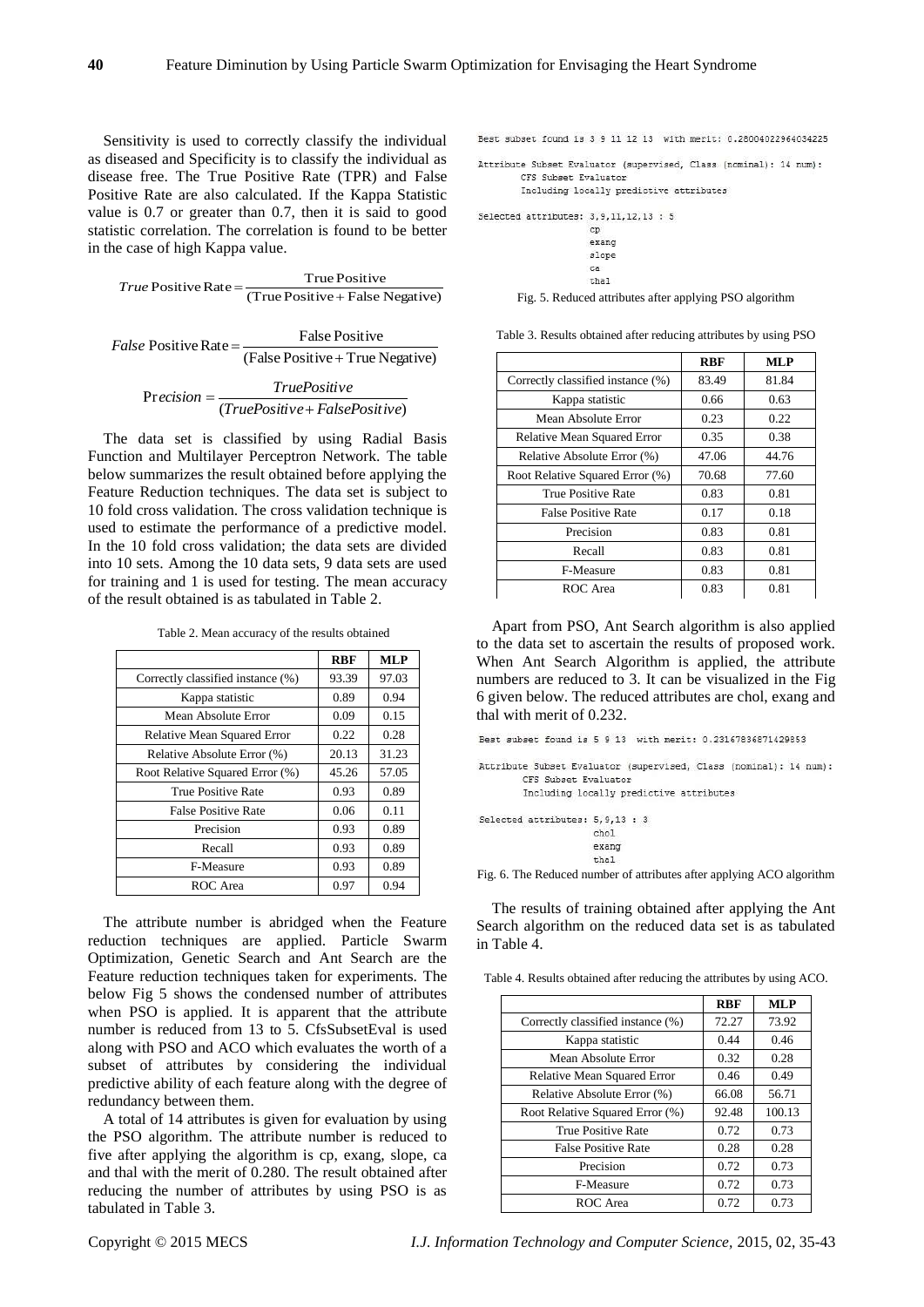Sensitivity is used to correctly classify the individual as diseased and Specificity is to classify the individual as disease free. The True Positive Rate (TPR) and False Positive Rate are also calculated. If the Kappa Statistic value is 0.7 or greater than 0.7, then it is said to good statistic correlation. The correlation is found to be better in the case of high Kappa value.

 $True$  Positive Rate =  $\frac{True$  Positive + False Negative)

$$
False Positive Rate = \frac{False Positive}{(False Positive + True Negative)}
$$

$$
Precision = \frac{TruePositive}{(TruePositive + FalsePositive)}
$$

The data set is classified by using Radial Basis Function and Multilayer Perceptron Network. The table below summarizes the result obtained before applying the Feature Reduction techniques. The data set is subject to 10 fold cross validation. The cross validation technique is used to estimate the performance of a predictive model. In the 10 fold cross validation; the data sets are divided into 10 sets. Among the 10 data sets, 9 data sets are used for training and 1 is used for testing. The mean accuracy of the result obtained is as tabulated in Table 2.

Table 2. Mean accuracy of the results obtained

|                                    | <b>RBF</b> | <b>MLP</b> |
|------------------------------------|------------|------------|
| Correctly classified instance (%)  | 93.39      | 97.03      |
| Kappa statistic                    | 0.89       | 0.94       |
| Mean Absolute Error                | 0.09       | 0.15       |
| <b>Relative Mean Squared Error</b> | 0.22       | 0.28       |
| Relative Absolute Error (%)        | 20.13      | 31.23      |
| Root Relative Squared Error (%)    | 45.26      | 57.05      |
| True Positive Rate                 | 0.93       | 0.89       |
| <b>False Positive Rate</b>         | 0.06       | 0.11       |
| Precision                          | 0.93       | 0.89       |
| Recall                             | 0.93       | 0.89       |
| F-Measure                          | 0.93       | 0.89       |
| ROC Area                           | 0.97       | 0.94       |

The attribute number is abridged when the Feature reduction techniques are applied. Particle Swarm Optimization, Genetic Search and Ant Search are the Feature reduction techniques taken for experiments. The below Fig 5 shows the condensed number of attributes when PSO is applied. It is apparent that the attribute number is reduced from 13 to 5. CfsSubsetEval is used along with PSO and ACO which evaluates the worth of a subset of attributes by considering the individual predictive ability of each feature along with the degree of redundancy between them.

A total of 14 attributes is given for evaluation by using the PSO algorithm. The attribute number is reduced to five after applying the algorithm is cp, exang, slope, ca and thal with the merit of 0.280. The result obtained after reducing the number of attributes by using PSO is as tabulated in Table 3.

Best subset found is 3 9 11 12 13 with merit: 0.28004022964034225

Attribute Subset Evaluator (supervised, Class (nominal): 14 num): CFS Subset Evaluator Including locally predictive attributes

Selected attributes: 3, 9, 11, 12, 13 : 5

 $\overline{c}$ exand slope ca

thal

Fig. 5. Reduced attributes after applying PSO algorithm

Table 3. Results obtained after reducing attributes by using PSO

|                                    | <b>RBF</b> | <b>MLP</b> |
|------------------------------------|------------|------------|
| Correctly classified instance (%)  | 83.49      | 81.84      |
| Kappa statistic                    | 0.66       | 0.63       |
| Mean Absolute Error                | 0.23       | 0.22       |
| <b>Relative Mean Squared Error</b> | 0.35       | 0.38       |
| Relative Absolute Error (%)        | 47.06      | 44.76      |
| Root Relative Squared Error (%)    | 70.68      | 77.60      |
| True Positive Rate                 | 0.83       | 0.81       |
| <b>False Positive Rate</b>         | 0.17       | 0.18       |
| Precision                          | 0.83       | 0.81       |
| Recall                             | 0.83       | 0.81       |
| F-Measure                          | 0.83       | 0.81       |
| ROC Area                           | 0.83       | 0.81       |

Apart from PSO, Ant Search algorithm is also applied to the data set to ascertain the results of proposed work. When Ant Search Algorithm is applied, the attribute numbers are reduced to 3. It can be visualized in the Fig 6 given below. The reduced attributes are chol, exang and thal with merit of 0.232.

Best subset found is 5 9 13 with merit: 0.23167836871429853

Attribute Subset Evaluator (supervised, Class (nominal): 14 num): CFS Subset Evaluator Including locally predictive attributes

Selected attributes: 5, 9, 13 : 3 chol exang thal

Fig. 6. The Reduced number of attributes after applying ACO algorithm

The results of training obtained after applying the Ant Search algorithm on the reduced data set is as tabulated in Table 4.

Table 4. Results obtained after reducing the attributes by using ACO*.*

|                                   | <b>RBF</b> | <b>MLP</b> |
|-----------------------------------|------------|------------|
| Correctly classified instance (%) | 72.27      | 73.92      |
| Kappa statistic                   | 0.44       | 0.46       |
| Mean Absolute Error               | 0.32       | 0.28       |
| Relative Mean Squared Error       | 0.46       | 0.49       |
| Relative Absolute Error (%)       | 66.08      | 56.71      |
| Root Relative Squared Error (%)   | 92.48      | 100.13     |
| True Positive Rate                | 0.72       | 0.73       |
| <b>False Positive Rate</b>        | 0.28       | 0.28       |
| Precision                         | 0.72       | 0.73       |
| F-Measure                         | 0.72       | 0.73       |
| ROC Area                          | 0.72       | 0.73       |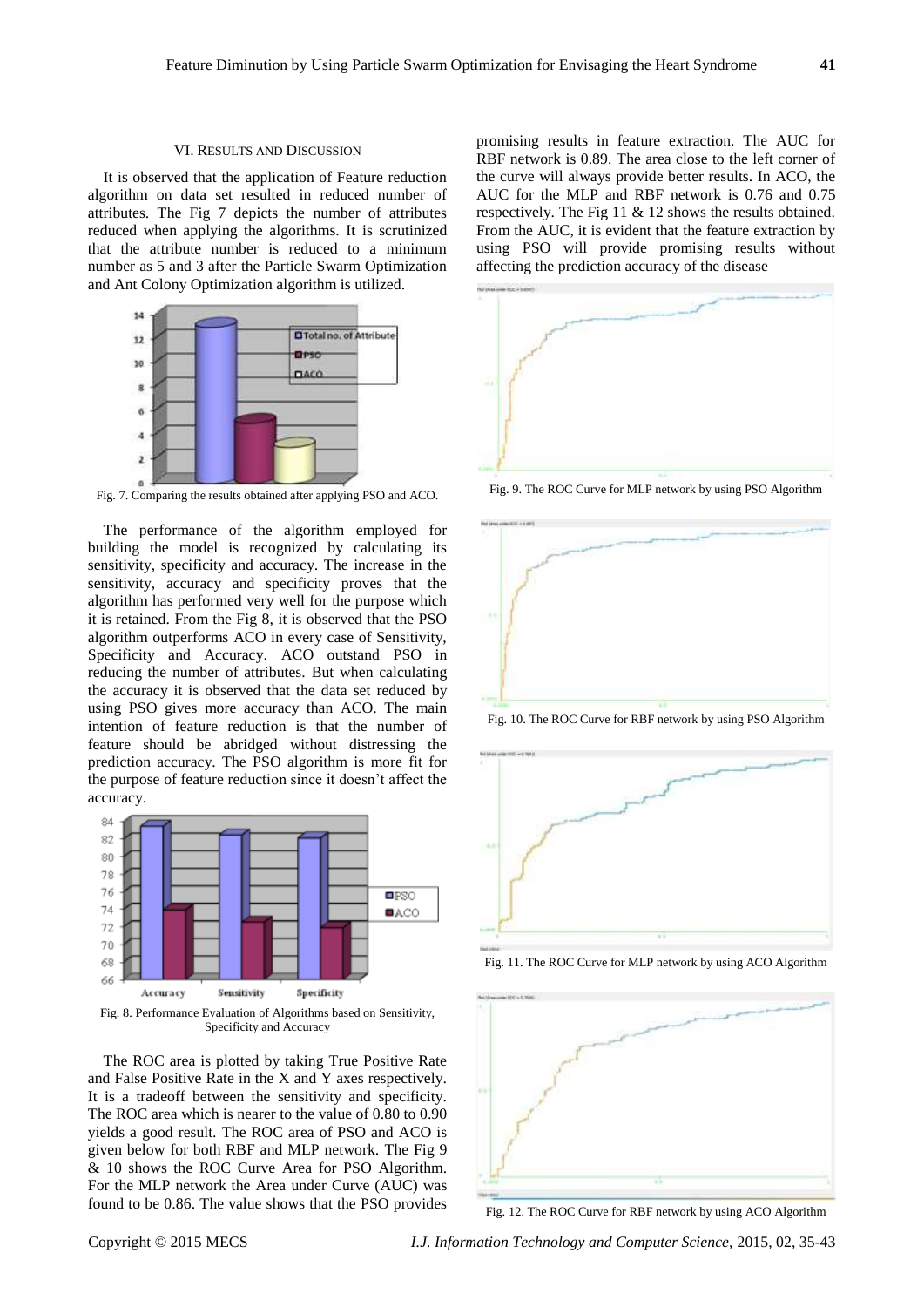#### VI. RESULTS AND DISCUSSION

It is observed that the application of Feature reduction algorithm on data set resulted in reduced number of attributes. The Fig 7 depicts the number of attributes reduced when applying the algorithms. It is scrutinized that the attribute number is reduced to a minimum number as 5 and 3 after the Particle Swarm Optimization and Ant Colony Optimization algorithm is utilized.



Fig. 7. Comparing the results obtained after applying PSO and ACO.

The performance of the algorithm employed for building the model is recognized by calculating its sensitivity, specificity and accuracy. The increase in the sensitivity, accuracy and specificity proves that the algorithm has performed very well for the purpose which it is retained. From the Fig 8, it is observed that the PSO algorithm outperforms ACO in every case of Sensitivity, Specificity and Accuracy. ACO outstand PSO in reducing the number of attributes. But when calculating the accuracy it is observed that the data set reduced by using PSO gives more accuracy than ACO. The main intention of feature reduction is that the number of feature should be abridged without distressing the prediction accuracy. The PSO algorithm is more fit for the purpose of feature reduction since it doesn't affect the accuracy.



Fig. 8. Performance Evaluation of Algorithms based on Sensitivity, Specificity and Accuracy

The ROC area is plotted by taking True Positive Rate and False Positive Rate in the X and Y axes respectively. It is a tradeoff between the sensitivity and specificity. The ROC area which is nearer to the value of 0.80 to 0.90 yields a good result. The ROC area of PSO and ACO is given below for both RBF and MLP network. The Fig 9 & 10 shows the ROC Curve Area for PSO Algorithm. For the MLP network the Area under Curve (AUC) was found to be 0.86. The value shows that the PSO provides

promising results in feature extraction. The AUC for RBF network is 0.89. The area close to the left corner of the curve will always provide better results. In ACO, the AUC for the MLP and RBF network is 0.76 and 0.75 respectively. The Fig 11 & 12 shows the results obtained. From the AUC, it is evident that the feature extraction by using PSO will provide promising results without affecting the prediction accuracy of the disease



Fig. 9. The ROC Curve for MLP network by using PSO Algorithm



Fig. 10. The ROC Curve for RBF network by using PSO Algorithm



Fig. 11. The ROC Curve for MLP network by using ACO Algorithm



Fig. 12. The ROC Curve for RBF network by using ACO Algorithm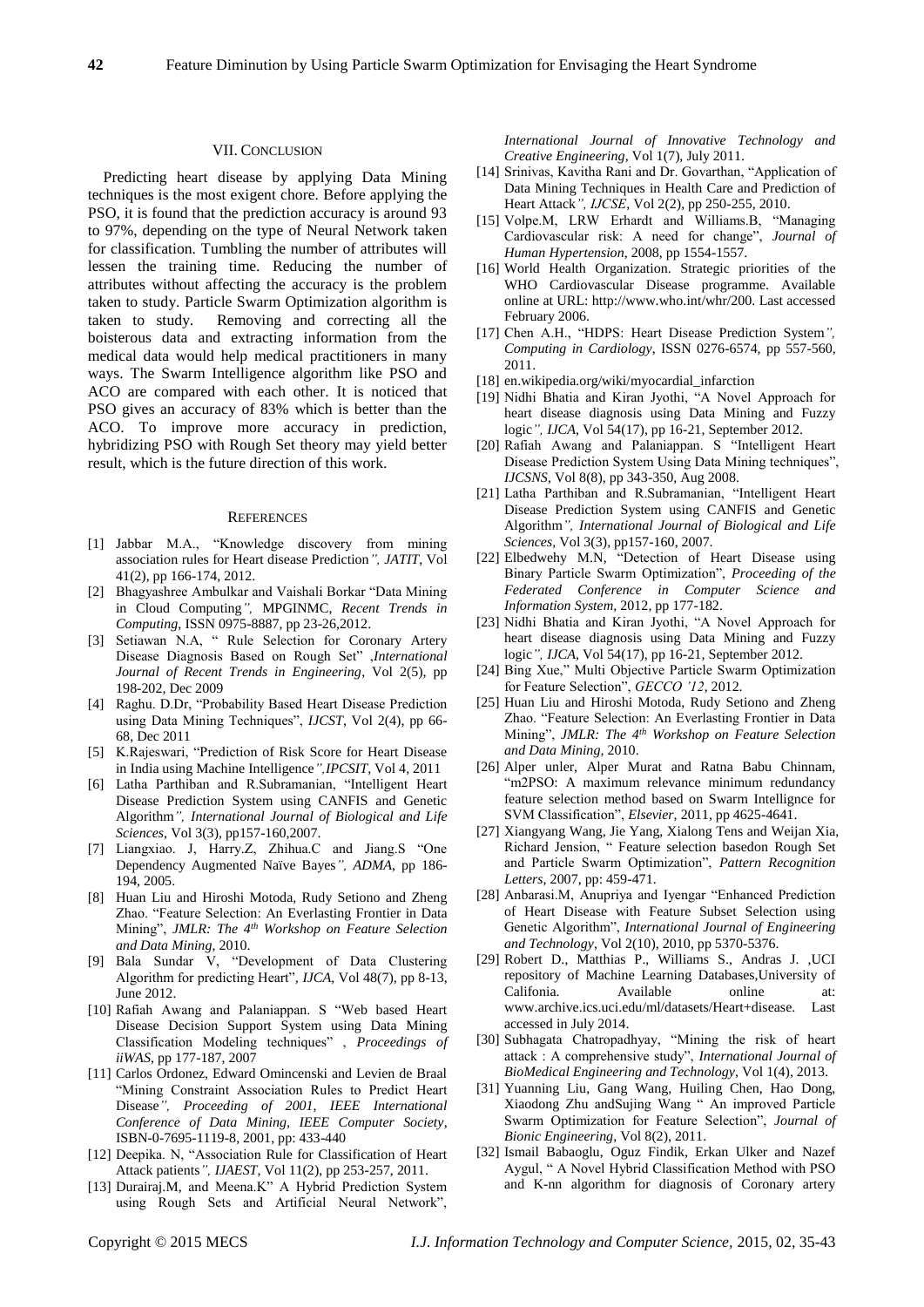#### VII. CONCLUSION

Predicting heart disease by applying Data Mining techniques is the most exigent chore. Before applying the PSO, it is found that the prediction accuracy is around 93 to 97%, depending on the type of Neural Network taken for classification. Tumbling the number of attributes will lessen the training time. Reducing the number of attributes without affecting the accuracy is the problem taken to study. Particle Swarm Optimization algorithm is taken to study. Removing and correcting all the boisterous data and extracting information from the medical data would help medical practitioners in many ways. The Swarm Intelligence algorithm like PSO and ACO are compared with each other. It is noticed that PSO gives an accuracy of 83% which is better than the ACO. To improve more accuracy in prediction, hybridizing PSO with Rough Set theory may yield better result, which is the future direction of this work.

#### **REFERENCES**

- [1] Jabbar M.A., "Knowledge discovery from mining association rules for Heart disease Prediction*", JATIT*, Vol 41(2), pp 166-174, 2012.
- [2] Bhagyashree Ambulkar and Vaishali Borkar "Data Mining in Cloud Computing*",* MPGINMC, *Recent Trends in Computing*, ISSN 0975-8887, pp 23-26,2012.
- [3] Setiawan N.A, " Rule Selection for Coronary Artery Disease Diagnosis Based on Rough Set" ,*International Journal of Recent Trends in Engineering*, Vol 2(5), pp 198-202, Dec 2009
- [4] Raghu. D.Dr, "Probability Based Heart Disease Prediction using Data Mining Techniques", *IJCST*, Vol 2(4), pp 66- 68, Dec 2011
- [5] K.Rajeswari, "Prediction of Risk Score for Heart Disease in India using Machine Intelligence*",IPCSIT*, Vol 4, 2011
- [6] Latha Parthiban and R.Subramanian, "Intelligent Heart Disease Prediction System using CANFIS and Genetic Algorithm*", International Journal of Biological and Life Sciences*, Vol 3(3), pp157-160,2007.
- [7] Liangxiao. J, Harry.Z, Zhihua.C and Jiang.S "One Dependency Augmented Naïve Bayes*", ADMA*, pp 186- 194, 2005.
- [8] Huan Liu and Hiroshi Motoda, Rudy Setiono and Zheng Zhao. "Feature Selection: An Everlasting Frontier in Data Mining", *JMLR: The 4th Workshop on Feature Selection and Data Mining*, 2010.
- [9] Bala Sundar V, "Development of Data Clustering Algorithm for predicting Heart"*, IJCA*, Vol 48(7), pp 8-13, June 2012.
- [10] Rafiah Awang and Palaniappan. S "Web based Heart Disease Decision Support System using Data Mining Classification Modeling techniques" , *Proceedings of iiWAS*, pp 177-187, 2007
- [11] Carlos Ordonez, Edward Omincenski and Levien de Braal "Mining Constraint Association Rules to Predict Heart Disease*", Proceeding of 2001, IEEE International Conference of Data Mining, IEEE Computer Society*, ISBN-0-7695-1119-8, 2001, pp: 433-440
- [12] Deepika. N, "Association Rule for Classification of Heart Attack patients*", IJAEST*, Vol 11(2), pp 253-257, 2011.
- [13] Durairaj.M, and Meena.K" A Hybrid Prediction System using Rough Sets and Artificial Neural Network",

*International Journal of Innovative Technology and Creative Engineering*, Vol 1(7), July 2011.

- [14] Srinivas, Kavitha Rani and Dr. Govarthan, "Application of Data Mining Techniques in Health Care and Prediction of Heart Attack*", IJCSE*, Vol 2(2), pp 250-255, 2010.
- [15] Volpe.M, LRW Erhardt and Williams.B, "Managing Cardiovascular risk: A need for change", *Journal of Human Hypertension*, 2008, pp 1554-1557.
- [16] World Health Organization. Strategic priorities of the WHO Cardiovascular Disease programme. Available online at URL: [http://www.who.int/whr/200. Last accessed](http://www.who.int/whr/200.%20Last%20accessed%20February%202006)  [February 2006.](http://www.who.int/whr/200.%20Last%20accessed%20February%202006)
- [17] Chen A.H., "HDPS: Heart Disease Prediction System*", Computing in Cardiology*, ISSN 0276-6574, pp 557-560, 2011.
- [18] en.wikipedia.org/wiki/myocardial\_infarction
- [19] Nidhi Bhatia and Kiran Jyothi, "A Novel Approach for heart disease diagnosis using Data Mining and Fuzzy logic*", IJCA*, Vol 54(17), pp 16-21, September 2012.
- [20] Rafiah Awang and Palaniappan. S "Intelligent Heart Disease Prediction System Using Data Mining techniques", *IJCSNS*, Vol 8(8), pp 343-350, Aug 2008.
- [21] Latha Parthiban and R.Subramanian, "Intelligent Heart Disease Prediction System using CANFIS and Genetic Algorithm*", International Journal of Biological and Life Sciences,* Vol 3(3), pp157-160, 2007.
- [22] Elbedwehy M.N, "Detection of Heart Disease using Binary Particle Swarm Optimization", *Proceeding of the Federated Conference in Computer Science and Information System*, 2012, pp 177-182.
- [23] Nidhi Bhatia and Kiran Jyothi, "A Novel Approach for heart disease diagnosis using Data Mining and Fuzzy logic*", IJCA*, Vol 54(17), pp 16-21, September 2012.
- [24] Bing Xue," Multi Objective Particle Swarm Optimization for Feature Selection", *GECCO '12*, 2012.
- [25] Huan Liu and Hiroshi Motoda, Rudy Setiono and Zheng Zhao. "Feature Selection: An Everlasting Frontier in Data Mining", *JMLR: The 4th Workshop on Feature Selection and Data Mining,* 2010.
- [26] Alper unler, Alper Murat and Ratna Babu Chinnam, "m2PSO: A maximum relevance minimum redundancy feature selection method based on Swarm Intellignce for SVM Classification", *Elsevier*, 2011, pp 4625-4641.
- [27] Xiangyang Wang, Jie Yang, Xialong Tens and Weijan Xia, Richard Jension, " Feature selection basedon Rough Set and Particle Swarm Optimization", *Pattern Recognition Letters*, 2007, pp: 459-471.
- [28] Anbarasi.M, Anupriya and Iyengar "Enhanced Prediction of Heart Disease with Feature Subset Selection using Genetic Algorithm", *International Journal of Engineering and Technology*, Vol 2(10), 2010, pp 5370-5376.
- [29] Robert D., Matthias P., Williams S., Andras J. ,UCI repository of Machine Learning Databases,University of Califonia. Available online at: www.archive.ics.uci.edu/ml/datasets/Heart+disease. Last accessed in July 2014.
- [30] Subhagata Chatropadhyay, "Mining the risk of heart attack : A comprehensive study", *International Journal of BioMedical Engineering and Technology*, Vol 1(4), 2013.
- [31] Yuanning Liu, Gang Wang, Huiling Chen, Hao Dong, Xiaodong Zhu andSujing Wang " An improved Particle Swarm Optimization for Feature Selection", *Journal of Bionic Engineering*, Vol 8(2), 2011.
- [32] Ismail Babaoglu, Oguz Findik, Erkan Ulker and Nazef Aygul, " A Novel Hybrid Classification Method with PSO and K-nn algorithm for diagnosis of Coronary artery